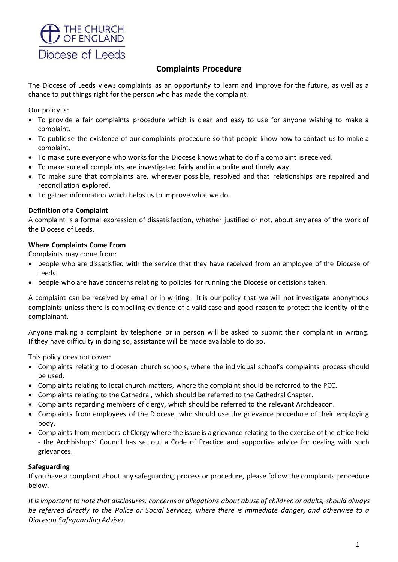

# **Complaints Procedure**

The Diocese of Leeds views complaints as an opportunity to learn and improve for the future, as well as a chance to put things right for the person who has made the complaint.

Our policy is:

- To provide a fair complaints procedure which is clear and easy to use for anyone wishing to make a complaint.
- To publicise the existence of our complaints procedure so that people know how to contact us to make a complaint.
- To make sure everyone who works for the Diocese knows what to do if a complaint isreceived.
- To make sure all complaints are investigated fairly and in a polite and timely way.
- To make sure that complaints are, wherever possible, resolved and that relationships are repaired and reconciliation explored.
- To gather information which helps us to improve what we do.

### **Definition of a Complaint**

A complaint is a formal expression of dissatisfaction, whether justified or not, about any area of the work of the Diocese of Leeds.

### **Where Complaints Come From**

Complaints may come from:

- people who are dissatisfied with the service that they have received from an employee of the Diocese of Leeds.
- people who are have concerns relating to policies for running the Diocese or decisions taken.

A complaint can be received by email or in writing. It is our policy that we will not investigate anonymous complaints unless there is compelling evidence of a valid case and good reason to protect the identity of the complainant.

Anyone making a complaint by telephone or in person will be asked to submit their complaint in writing. If they have difficulty in doing so, assistance will be made available to do so.

This policy does not cover:

- Complaints relating to diocesan church schools, where the individual school's complaints process should be used.
- Complaints relating to local church matters, where the complaint should be referred to the PCC.
- Complaints relating to the Cathedral, which should be referred to the Cathedral Chapter.
- Complaints regarding members of clergy, which should be referred to the relevant Archdeacon.
- Complaints from employees of the Diocese, who should use the grievance procedure of their employing body.
- Complaints from members of Clergy where the issue is a grievance relating to the exercise of the office held - the Archbishops' Council has set out a Code of Practice and supportive advice for dealing with such grievances.

#### **Safeguarding**

If you have a complaint about any safeguarding process or procedure, please follow the complaints procedure below.

*It is important to note that disclosures, concerns or allegations about abuse of children or adults, should always be referred directly to the Police or Social Services, where there is immediate danger, and otherwise to a Diocesan Safeguarding Adviser.*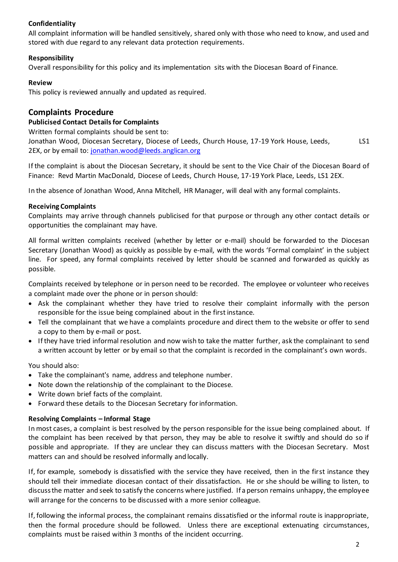### **Confidentiality**

All complaint information will be handled sensitively, shared only with those who need to know, and used and stored with due regard to any relevant data protection requirements.

### **Responsibility**

Overall responsibility for this policy and its implementation sits with the Diocesan Board of Finance.

### **Review**

This policy is reviewed annually and updated as required.

## **Complaints Procedure**

#### **Publicised Contact Details for Complaints**

Written formal complaints should be sent to:

Jonathan Wood, Diocesan Secretary, Diocese of Leeds, Church House, 17-19 York House, Leeds, LS1 2EX, or by email to: [jonathan.wood@leeds.anglican.org](mailto:jonathan.wood@leeds.anglican.org)

If the complaint is about the Diocesan Secretary, it should be sent to the Vice Chair of the Diocesan Board of Finance: Revd Martin MacDonald, Diocese of Leeds, Church House, 17-19 York Place, Leeds, LS1 2EX.

In the absence of Jonathan Wood, Anna Mitchell, HR Manager, will deal with any formal complaints.

### **Receiving Complaints**

Complaints may arrive through channels publicised for that purpose or through any other contact details or opportunities the complainant may have.

All formal written complaints received (whether by letter or e-mail) should be forwarded to the Diocesan Secretary (Jonathan Wood) as quickly as possible by e-mail, with the words 'Formal complaint' in the subject line. For speed, any formal complaints received by letter should be scanned and forwarded as quickly as possible.

Complaints received by telephone or in person need to be recorded. The employee or volunteer who receives a complaint made over the phone or in person should:

- Ask the complainant whether they have tried to resolve their complaint informally with the person responsible for the issue being complained about in the first instance.
- Tell the complainant that we have a complaints procedure and direct them to the website or offer to send a copy to them by e-mail or post.
- If they have tried informal resolution and now wish to take the matter further, ask the complainant to send a written account by letter or by email so that the complaint is recorded in the complainant's own words.

You should also:

- Take the complainant's name, address and telephone number.
- Note down the relationship of the complainant to the Diocese.
- Write down brief facts of the complaint.
- Forward these details to the Diocesan Secretary forinformation.

### **Resolving Complaints – Informal Stage**

In most cases, a complaint is best resolved by the person responsible for the issue being complained about. If the complaint has been received by that person, they may be able to resolve it swiftly and should do so if possible and appropriate. If they are unclear they can discuss matters with the Diocesan Secretary. Most matters can and should be resolved informally and locally.

If, for example, somebody is dissatisfied with the service they have received, then in the first instance they should tell their immediate diocesan contact of their dissatisfaction. He or she should be willing to listen, to discuss the matter and seek to satisfy the concerns where justified. If a person remains unhappy, the employee will arrange for the concerns to be discussed with a more senior colleague.

If, following the informal process, the complainant remains dissatisfied or the informal route is inappropriate, then the formal procedure should be followed. Unless there are exceptional extenuating circumstances, complaints must be raised within 3 months of the incident occurring.